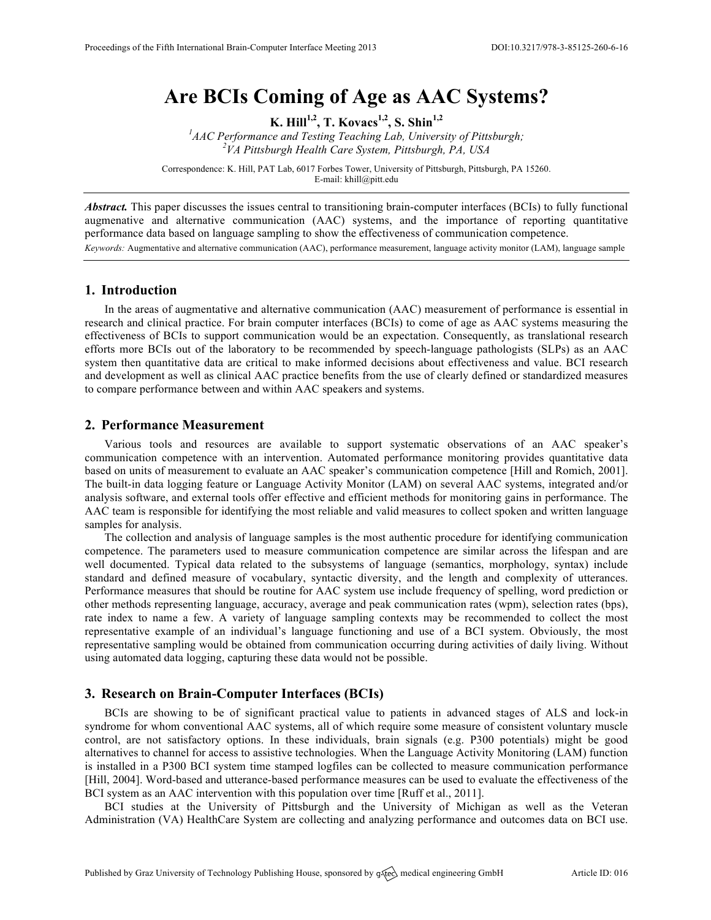# **Are BCIs Coming of Age as AAC Systems?**

**K. Hill**<sup>1,2</sup>, **T. Kovacs**<sup>1,2</sup>, **S. Shin**<sup>1,2</sup>

<sup>1</sup><br>
<sup>1</sup> AAC Performance and Testing Teaching Lab, University of Pittsburgh;<br>
<sup>2</sup>VA Bittsburgh Haglih Cans System, Bittsburgh, BA, USA *VA Pittsburgh Health Care System, Pittsburgh, PA, USA*

Correspondence: K. Hill, PAT Lab, 6017 Forbes Tower, University of Pittsburgh, Pittsburgh, PA 15260. E-mail: khill@pitt.edu

*Abstract.* This paper discusses the issues central to transitioning brain-computer interfaces (BCIs) to fully functional augmenative and alternative communication (AAC) systems, and the importance of reporting quantitative performance data based on language sampling to show the effectiveness of communication competence. *Keywords:* Augmentative and alternative communication (AAC), performance measurement, language activity monitor (LAM), language sample

## **1. Introduction**

In the areas of augmentative and alternative communication (AAC) measurement of performance is essential in research and clinical practice. For brain computer interfaces (BCIs) to come of age as AAC systems measuring the effectiveness of BCIs to support communication would be an expectation. Consequently, as translational research efforts more BCIs out of the laboratory to be recommended by speech-language pathologists (SLPs) as an AAC system then quantitative data are critical to make informed decisions about effectiveness and value. BCI research and development as well as clinical AAC practice benefits from the use of clearly defined or standardized measures to compare performance between and within AAC speakers and systems.

## **2. Performance Measurement**

Various tools and resources are available to support systematic observations of an AAC speaker's communication competence with an intervention. Automated performance monitoring provides quantitative data based on units of measurement to evaluate an AAC speaker's communication competence [Hill and Romich, 2001]. The built-in data logging feature or Language Activity Monitor (LAM) on several AAC systems, integrated and/or analysis software, and external tools offer effective and efficient methods for monitoring gains in performance. The AAC team is responsible for identifying the most reliable and valid measures to collect spoken and written language samples for analysis.

The collection and analysis of language samples is the most authentic procedure for identifying communication competence. The parameters used to measure communication competence are similar across the lifespan and are well documented. Typical data related to the subsystems of language (semantics, morphology, syntax) include standard and defined measure of vocabulary, syntactic diversity, and the length and complexity of utterances. Performance measures that should be routine for AAC system use include frequency of spelling, word prediction or other methods representing language, accuracy, average and peak communication rates (wpm), selection rates (bps), rate index to name a few. A variety of language sampling contexts may be recommended to collect the most representative example of an individual's language functioning and use of a BCI system. Obviously, the most representative sampling would be obtained from communication occurring during activities of daily living. Without using automated data logging, capturing these data would not be possible.

### **3. Research on Brain-Computer Interfaces (BCIs)**

BCIs are showing to be of significant practical value to patients in advanced stages of ALS and lock-in syndrome for whom conventional AAC systems, all of which require some measure of consistent voluntary muscle control, are not satisfactory options. In these individuals, brain signals (e.g. P300 potentials) might be good alternatives to channel for access to assistive technologies. When the Language Activity Monitoring (LAM) function is installed in a P300 BCI system time stamped logfiles can be collected to measure communication performance [Hill, 2004]. Word-based and utterance-based performance measures can be used to evaluate the effectiveness of the BCI system as an AAC intervention with this population over time [Ruff et al., 2011].

BCI studies at the University of Pittsburgh and the University of Michigan as well as the Veteran Administration (VA) HealthCare System are collecting and analyzing performance and outcomes data on BCI use.